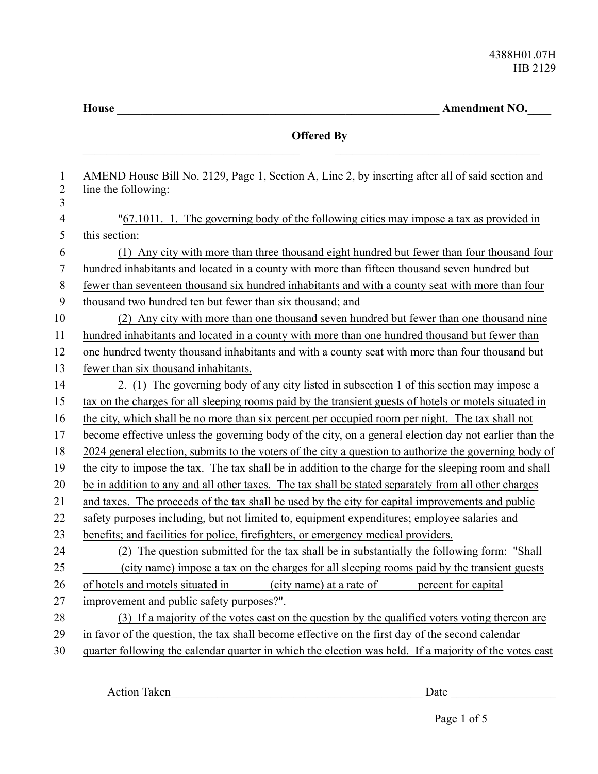**House** \_\_\_\_\_\_\_\_\_\_\_\_\_\_\_\_\_\_\_\_\_\_\_\_\_\_\_\_\_\_\_\_\_\_\_\_\_\_\_\_\_\_\_\_\_\_\_\_\_\_\_\_\_\_\_ **Amendment NO.**\_\_\_\_

|                                     | <b>Offered By</b>                                                                                                       |
|-------------------------------------|-------------------------------------------------------------------------------------------------------------------------|
| $\mathbf{1}$<br>$\overline{2}$<br>3 | AMEND House Bill No. 2129, Page 1, Section A, Line 2, by inserting after all of said section and<br>line the following: |
| $\overline{4}$                      | "67.1011. 1. The governing body of the following cities may impose a tax as provided in                                 |
| 5                                   | this section:                                                                                                           |
| 6                                   | (1) Any city with more than three thousand eight hundred but fewer than four thousand four                              |
| 7                                   | hundred inhabitants and located in a county with more than fifteen thousand seven hundred but                           |
| 8                                   | fewer than seventeen thousand six hundred inhabitants and with a county seat with more than four                        |
| 9                                   | thousand two hundred ten but fewer than six thousand; and                                                               |
| 10                                  | (2) Any city with more than one thousand seven hundred but fewer than one thousand nine                                 |
| 11                                  | hundred inhabitants and located in a county with more than one hundred thousand but fewer than                          |
| 12                                  | one hundred twenty thousand inhabitants and with a county seat with more than four thousand but                         |
| 13                                  | fewer than six thousand inhabitants.                                                                                    |
| 14                                  | 2. (1) The governing body of any city listed in subsection 1 of this section may impose a                               |
| 15                                  | tax on the charges for all sleeping rooms paid by the transient guests of hotels or motels situated in                  |
| 16                                  | the city, which shall be no more than six percent per occupied room per night. The tax shall not                        |
| 17                                  | become effective unless the governing body of the city, on a general election day not earlier than the                  |
| 18                                  | 2024 general election, submits to the voters of the city a question to authorize the governing body of                  |
| 19                                  | the city to impose the tax. The tax shall be in addition to the charge for the sleeping room and shall                  |
| 20                                  | be in addition to any and all other taxes. The tax shall be stated separately from all other charges                    |
| 21                                  | and taxes. The proceeds of the tax shall be used by the city for capital improvements and public                        |
| 22                                  | safety purposes including, but not limited to, equipment expenditures; employee salaries and                            |
| 23                                  | benefits; and facilities for police, firefighters, or emergency medical providers.                                      |
| 24                                  | (2) The question submitted for the tax shall be in substantially the following form: "Shall                             |
| 25                                  | (city name) impose a tax on the charges for all sleeping rooms paid by the transient guests                             |
| 26                                  | of hotels and motels situated in<br>(city name) at a rate of<br>percent for capital                                     |
| 27                                  | improvement and public safety purposes?".                                                                               |
| $28\,$                              | (3) If a majority of the votes cast on the question by the qualified voters voting thereon are                          |
| 29                                  | in favor of the question, the tax shall become effective on the first day of the second calendar                        |
| 30                                  | quarter following the calendar quarter in which the election was held. If a majority of the votes cast                  |

Action Taken\_\_\_\_\_\_\_\_\_\_\_\_\_\_\_\_\_\_\_\_\_\_\_\_\_\_\_\_\_\_\_\_\_\_\_\_\_\_\_\_\_\_\_ Date \_\_\_\_\_\_\_\_\_\_\_\_\_\_\_\_\_\_

Page 1 of 5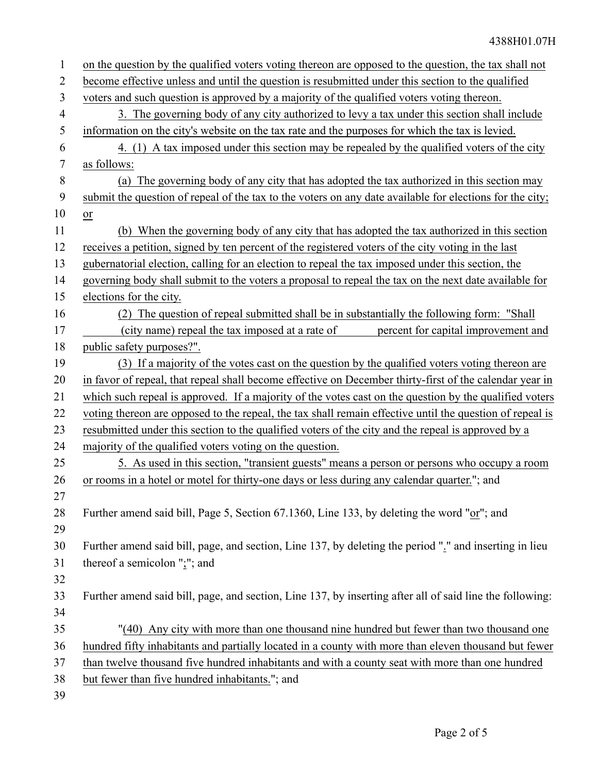| $\mathbf{1}$   | on the question by the qualified voters voting thereon are opposed to the question, the tax shall not    |
|----------------|----------------------------------------------------------------------------------------------------------|
| $\overline{2}$ | become effective unless and until the question is resubmitted under this section to the qualified        |
| 3              | voters and such question is approved by a majority of the qualified voters voting thereon.               |
| $\overline{4}$ | 3. The governing body of any city authorized to levy a tax under this section shall include              |
| 5              | information on the city's website on the tax rate and the purposes for which the tax is levied.          |
| 6              | 4. (1) A tax imposed under this section may be repealed by the qualified voters of the city              |
| 7              | as follows:                                                                                              |
| 8              | The governing body of any city that has adopted the tax authorized in this section may<br>(a)            |
| 9              | submit the question of repeal of the tax to the voters on any date available for elections for the city; |
| 10             | or                                                                                                       |
| 11             | (b) When the governing body of any city that has adopted the tax authorized in this section              |
| 12             | receives a petition, signed by ten percent of the registered voters of the city voting in the last       |
| 13             | gubernatorial election, calling for an election to repeal the tax imposed under this section, the        |
| 14             | governing body shall submit to the voters a proposal to repeal the tax on the next date available for    |
| 15             | elections for the city.                                                                                  |
| 16             | (2) The question of repeal submitted shall be in substantially the following form: "Shall                |
| 17             | (city name) repeal the tax imposed at a rate of<br>percent for capital improvement and                   |
| 18             | public safety purposes?".                                                                                |
| 19             | (3) If a majority of the votes cast on the question by the qualified voters voting thereon are           |
| 20             | in favor of repeal, that repeal shall become effective on December thirty-first of the calendar year in  |
| 21             | which such repeal is approved. If a majority of the votes cast on the question by the qualified voters   |
| 22             | voting thereon are opposed to the repeal, the tax shall remain effective until the question of repeal is |
| 23             | resubmitted under this section to the qualified voters of the city and the repeal is approved by a       |
| 24             | majority of the qualified voters voting on the question.                                                 |
| 25             | 5. As used in this section, "transient guests" means a person or persons who occupy a room               |
| 26             | or rooms in a hotel or motel for thirty-one days or less during any calendar quarter."; and              |
| 27             |                                                                                                          |
| 28             | Further amend said bill, Page 5, Section 67.1360, Line 133, by deleting the word "or"; and               |
| 29             |                                                                                                          |
| 30             | Further amend said bill, page, and section, Line 137, by deleting the period "." and inserting in lieu   |
| 31             | thereof a semicolon " $\cdot$ "; and                                                                     |
| 32             |                                                                                                          |
| 33             | Further amend said bill, page, and section, Line 137, by inserting after all of said line the following: |
| 34             |                                                                                                          |
| 35             | "(40) Any city with more than one thousand nine hundred but fewer than two thousand one                  |
| 36             | hundred fifty inhabitants and partially located in a county with more than eleven thousand but fewer     |
| 37             | than twelve thousand five hundred inhabitants and with a county seat with more than one hundred          |
| 38             | but fewer than five hundred inhabitants."; and                                                           |
| 39             |                                                                                                          |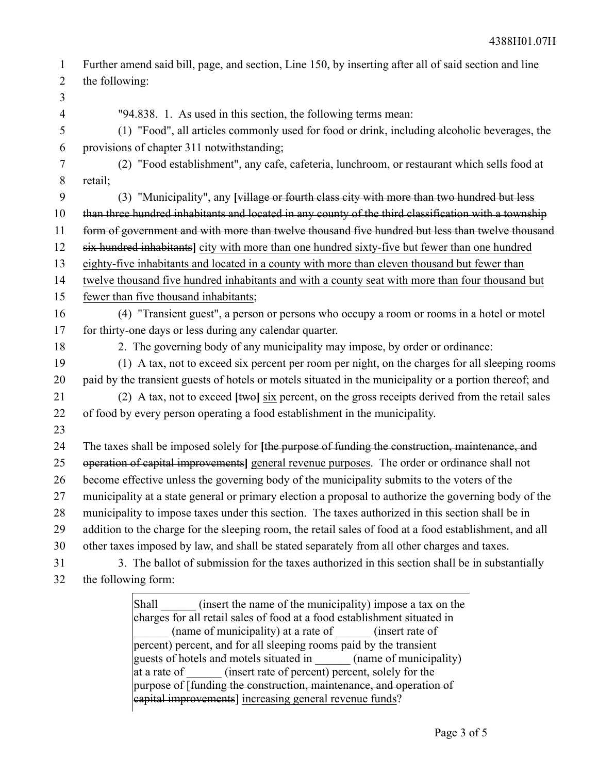Further amend said bill, page, and section, Line 150, by inserting after all of said section and line the following: 1 2

3

4

"94.838. 1. As used in this section, the following terms mean:

(1) "Food", all articles commonly used for food or drink, including alcoholic beverages, the provisions of chapter 311 notwithstanding; 5 6

(2) "Food establishment", any cafe, cafeteria, lunchroom, or restaurant which sells food at retail; 7 8

(3) "Municipality", any **[**village or fourth class city with more than two hundred but less than three hundred inhabitants and located in any county of the third classification with a township form of government and with more than twelve thousand five hundred but less than twelve thousand six hundred inhabitants**]** city with more than one hundred sixty-five but fewer than one hundred 9 10 11 12

eighty-five inhabitants and located in a county with more than eleven thousand but fewer than 13

twelve thousand five hundred inhabitants and with a county seat with more than four thousand but fewer than five thousand inhabitants; 14 15

- (4) "Transient guest", a person or persons who occupy a room or rooms in a hotel or motel for thirty-one days or less during any calendar quarter. 16 17
- 18

2. The governing body of any municipality may impose, by order or ordinance:

(1) A tax, not to exceed six percent per room per night, on the charges for all sleeping rooms paid by the transient guests of hotels or motels situated in the municipality or a portion thereof; and 19 20

(2) A tax, not to exceed **[**two**]** six percent, on the gross receipts derived from the retail sales of food by every person operating a food establishment in the municipality. 21 22

23

The taxes shall be imposed solely for **[**the purpose of funding the construction, maintenance, and operation of capital improvements**]** general revenue purposes. The order or ordinance shall not become effective unless the governing body of the municipality submits to the voters of the municipality at a state general or primary election a proposal to authorize the governing body of the municipality to impose taxes under this section. The taxes authorized in this section shall be in 24 25 26 27 28

- addition to the charge for the sleeping room, the retail sales of food at a food establishment, and all 29
- other taxes imposed by law, and shall be stated separately from all other charges and taxes. 30
- 3. The ballot of submission for the taxes authorized in this section shall be in substantially the following form: 31 32

Shall (insert the name of the municipality) impose a tax on the charges for all retail sales of food at a food establishment situated in (name of municipality) at a rate of  $\qquad$  (insert rate of percent) percent, and for all sleeping rooms paid by the transient guests of hotels and motels situated in (name of municipality) at a rate of  $(insert \ rate \ of \ percent) \ percent, \ solely \ for \ the$ purpose of [funding the construction, maintenance, and operation of capital improvements] increasing general revenue funds?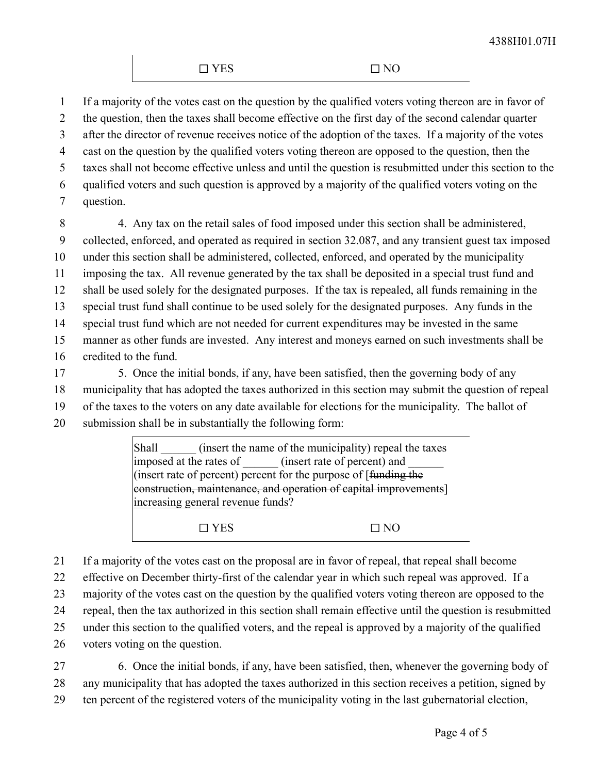If a majority of the votes cast on the question by the qualified voters voting thereon are in favor of 1

the question, then the taxes shall become effective on the first day of the second calendar quarter after the director of revenue receives notice of the adoption of the taxes. If a majority of the votes 2 3

cast on the question by the qualified voters voting thereon are opposed to the question, then the 4

taxes shall not become effective unless and until the question is resubmitted under this section to the 5

qualified voters and such question is approved by a majority of the qualified voters voting on the 6

question. 7

4. Any tax on the retail sales of food imposed under this section shall be administered, collected, enforced, and operated as required in section 32.087, and any transient guest tax imposed under this section shall be administered, collected, enforced, and operated by the municipality imposing the tax. All revenue generated by the tax shall be deposited in a special trust fund and shall be used solely for the designated purposes. If the tax is repealed, all funds remaining in the special trust fund shall continue to be used solely for the designated purposes. Any funds in the special trust fund which are not needed for current expenditures may be invested in the same manner as other funds are invested. Any interest and moneys earned on such investments shall be credited to the fund. 8 9 10 11 12 13 14 15 16

5. Once the initial bonds, if any, have been satisfied, then the governing body of any municipality that has adopted the taxes authorized in this section may submit the question of repeal of the taxes to the voters on any date available for elections for the municipality. The ballot of submission shall be in substantially the following form: 17 18 19 20

> Shall (insert the name of the municipality) repeal the taxes imposed at the rates of  $\qquad$  (insert rate of percent) and (insert rate of percent) percent for the purpose of [funding the construction, maintenance, and operation of capital improvements] increasing general revenue funds?

 $\square$  YES  $\square$  NO

If a majority of the votes cast on the proposal are in favor of repeal, that repeal shall become 21

effective on December thirty-first of the calendar year in which such repeal was approved. If a 22

majority of the votes cast on the question by the qualified voters voting thereon are opposed to the 23

repeal, then the tax authorized in this section shall remain effective until the question is resubmitted 24

under this section to the qualified voters, and the repeal is approved by a majority of the qualified 25

voters voting on the question. 26

6. Once the initial bonds, if any, have been satisfied, then, whenever the governing body of any municipality that has adopted the taxes authorized in this section receives a petition, signed by ten percent of the registered voters of the municipality voting in the last gubernatorial election, 27 28 29